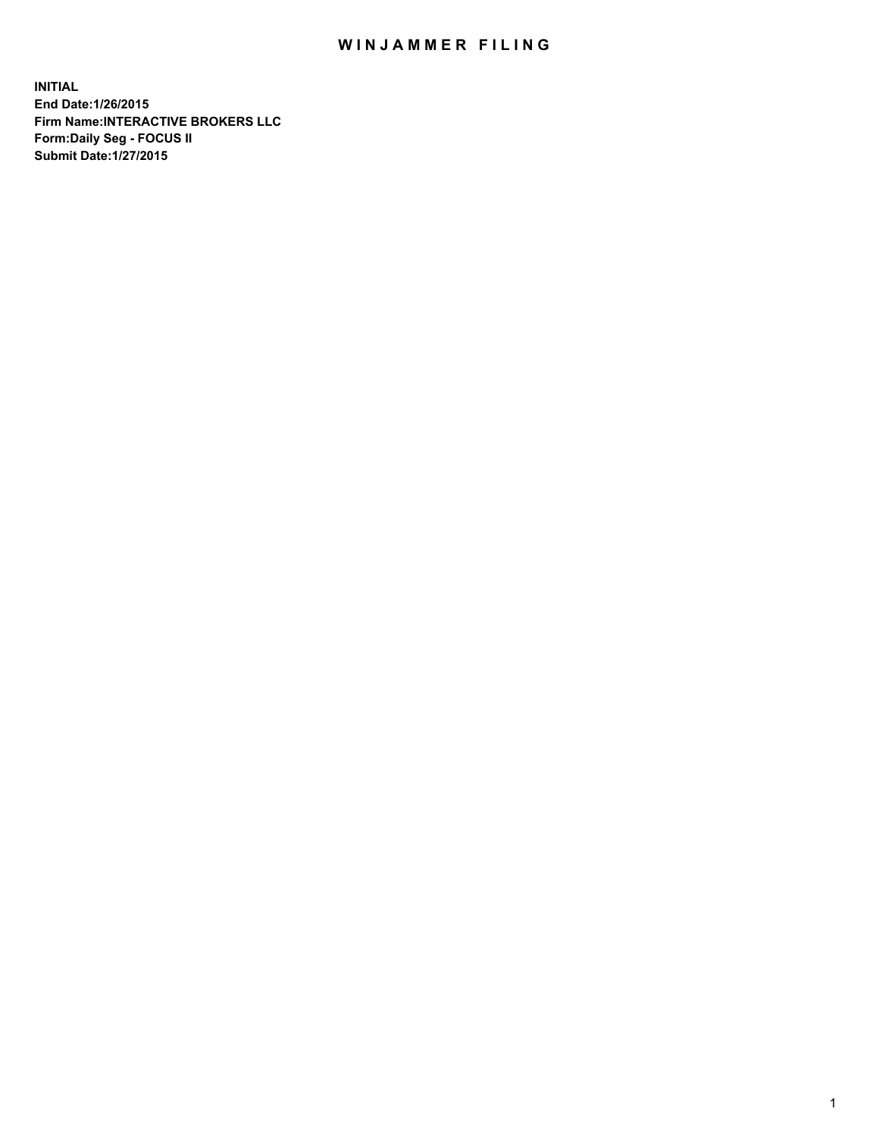## WIN JAMMER FILING

**INITIAL End Date:1/26/2015 Firm Name:INTERACTIVE BROKERS LLC Form:Daily Seg - FOCUS II Submit Date:1/27/2015**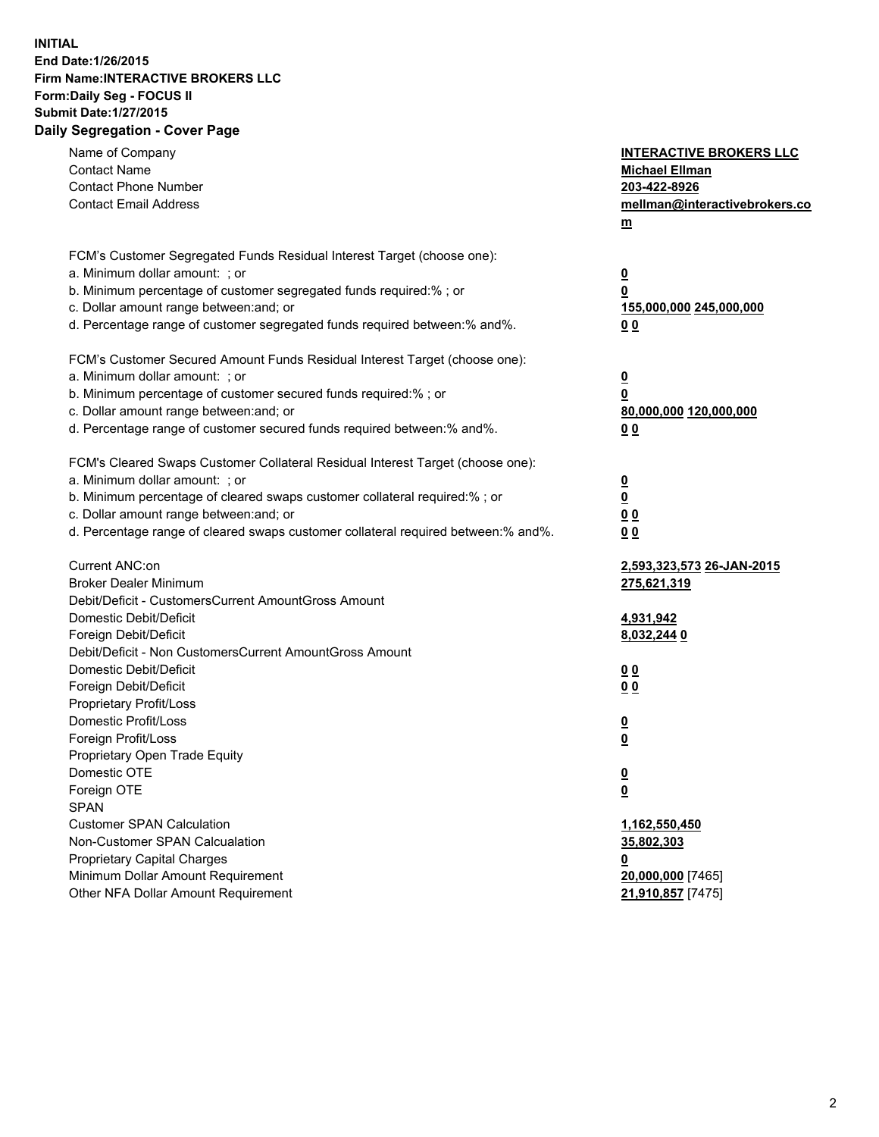## **INITIAL End Date:1/26/2015 Firm Name:INTERACTIVE BROKERS LLC Form:Daily Seg - FOCUS II Submit Date:1/27/2015 Daily Segregation - Cover Page**

| Name of Company<br><b>Contact Name</b><br><b>Contact Phone Number</b><br><b>Contact Email Address</b>                                                                                                                                                                                                                          | <b>INTERACTIVE BROKERS LLC</b><br><b>Michael Ellman</b><br>203-422-8926<br>mellman@interactivebrokers.co<br>$m$ |
|--------------------------------------------------------------------------------------------------------------------------------------------------------------------------------------------------------------------------------------------------------------------------------------------------------------------------------|-----------------------------------------------------------------------------------------------------------------|
| FCM's Customer Segregated Funds Residual Interest Target (choose one):<br>a. Minimum dollar amount: ; or<br>b. Minimum percentage of customer segregated funds required:% ; or<br>c. Dollar amount range between: and; or<br>d. Percentage range of customer segregated funds required between:% and%.                         | <u>0</u><br><u>0</u><br>155,000,000 245,000,000<br>0 <sub>0</sub>                                               |
| FCM's Customer Secured Amount Funds Residual Interest Target (choose one):<br>a. Minimum dollar amount: ; or<br>b. Minimum percentage of customer secured funds required:% ; or<br>c. Dollar amount range between: and; or<br>d. Percentage range of customer secured funds required between:% and%.                           | <u>0</u><br>0<br>80,000,000 120,000,000<br>0 <sub>0</sub>                                                       |
| FCM's Cleared Swaps Customer Collateral Residual Interest Target (choose one):<br>a. Minimum dollar amount: ; or<br>b. Minimum percentage of cleared swaps customer collateral required:% ; or<br>c. Dollar amount range between: and; or<br>d. Percentage range of cleared swaps customer collateral required between:% and%. | $\overline{\mathbf{0}}$<br>$\underline{\mathbf{0}}$<br>0 <sub>0</sub><br>0 <sub>0</sub>                         |
| Current ANC:on<br><b>Broker Dealer Minimum</b><br>Debit/Deficit - CustomersCurrent AmountGross Amount<br>Domestic Debit/Deficit<br>Foreign Debit/Deficit                                                                                                                                                                       | 2,593,323,573 26-JAN-2015<br>275,621,319<br>4,931,942<br>8,032,244 0                                            |
| Debit/Deficit - Non CustomersCurrent AmountGross Amount<br>Domestic Debit/Deficit<br>Foreign Debit/Deficit<br>Proprietary Profit/Loss<br>Domestic Profit/Loss                                                                                                                                                                  | 0 <sub>0</sub><br>0 <sub>0</sub><br><u>0</u>                                                                    |
| Foreign Profit/Loss<br>Proprietary Open Trade Equity<br>Domestic OTE<br>Foreign OTE<br><b>SPAN</b><br><b>Customer SPAN Calculation</b>                                                                                                                                                                                         | <u>0</u><br><u>0</u><br><u>0</u><br>1,162,550,450                                                               |
| Non-Customer SPAN Calcualation<br><b>Proprietary Capital Charges</b><br>Minimum Dollar Amount Requirement<br>Other NFA Dollar Amount Requirement                                                                                                                                                                               | 35,802,303<br><u>0</u><br>20,000,000 [7465]<br>21,910,857 [7475]                                                |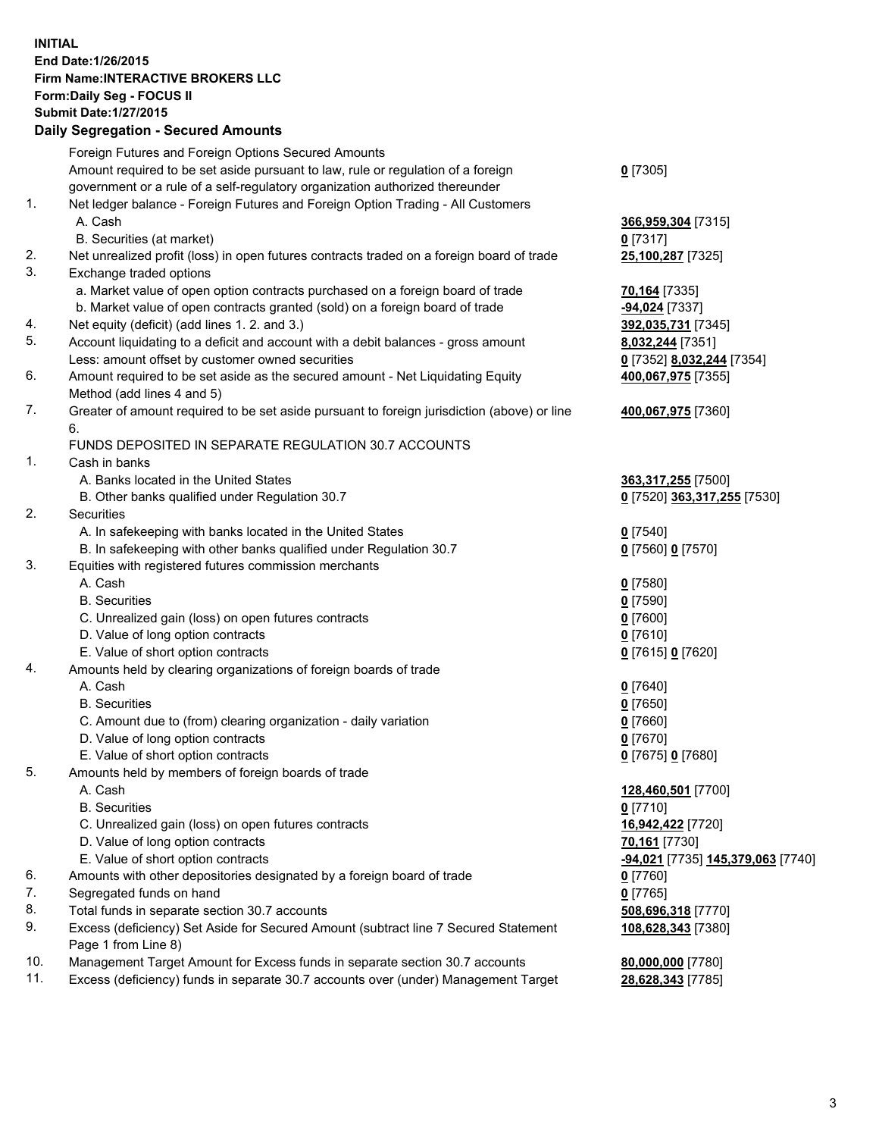## **INITIAL End Date:1/26/2015 Firm Name:INTERACTIVE BROKERS LLC Form:Daily Seg - FOCUS II Submit Date:1/27/2015 Daily Segregation - Secured Amounts**

|     | Dany Ocgregation - Oceanea Annoanta                                                         |                                                |
|-----|---------------------------------------------------------------------------------------------|------------------------------------------------|
|     | Foreign Futures and Foreign Options Secured Amounts                                         |                                                |
|     | Amount required to be set aside pursuant to law, rule or regulation of a foreign            | $0$ [7305]                                     |
|     | government or a rule of a self-regulatory organization authorized thereunder                |                                                |
| 1.  | Net ledger balance - Foreign Futures and Foreign Option Trading - All Customers             |                                                |
|     | A. Cash                                                                                     | 366,959,304 [7315]                             |
|     | B. Securities (at market)                                                                   | $0$ [7317]                                     |
| 2.  | Net unrealized profit (loss) in open futures contracts traded on a foreign board of trade   | 25,100,287 [7325]                              |
| 3.  | Exchange traded options                                                                     |                                                |
|     | a. Market value of open option contracts purchased on a foreign board of trade              | <b>70,164</b> [7335]                           |
|     | b. Market value of open contracts granted (sold) on a foreign board of trade                | -94,024 [7337]                                 |
| 4.  | Net equity (deficit) (add lines 1.2. and 3.)                                                | 392,035,731 [7345]                             |
| 5.  | Account liquidating to a deficit and account with a debit balances - gross amount           | 8,032,244 [7351]                               |
|     | Less: amount offset by customer owned securities                                            | 0 [7352] 8,032,244 [7354]                      |
| 6.  | Amount required to be set aside as the secured amount - Net Liquidating Equity              | 400,067,975 [7355]                             |
|     | Method (add lines 4 and 5)                                                                  |                                                |
| 7.  | Greater of amount required to be set aside pursuant to foreign jurisdiction (above) or line | 400,067,975 [7360]                             |
|     | 6.                                                                                          |                                                |
|     | FUNDS DEPOSITED IN SEPARATE REGULATION 30.7 ACCOUNTS                                        |                                                |
| 1.  | Cash in banks                                                                               |                                                |
|     | A. Banks located in the United States                                                       | 363,317,255 [7500]                             |
|     | B. Other banks qualified under Regulation 30.7                                              | 0 [7520] 363,317,255 [7530]                    |
| 2.  | Securities                                                                                  |                                                |
|     | A. In safekeeping with banks located in the United States                                   | $0$ [7540]                                     |
|     | B. In safekeeping with other banks qualified under Regulation 30.7                          | 0 [7560] 0 [7570]                              |
| 3.  | Equities with registered futures commission merchants                                       |                                                |
|     | A. Cash                                                                                     | $0$ [7580]                                     |
|     | <b>B.</b> Securities                                                                        | $0$ [7590]                                     |
|     | C. Unrealized gain (loss) on open futures contracts                                         | $0$ [7600]                                     |
|     | D. Value of long option contracts                                                           | $0$ [7610]                                     |
|     | E. Value of short option contracts                                                          | 0 [7615] 0 [7620]                              |
| 4.  | Amounts held by clearing organizations of foreign boards of trade                           |                                                |
|     | A. Cash                                                                                     | $0$ [7640]                                     |
|     | <b>B.</b> Securities                                                                        | $0$ [7650]                                     |
|     | C. Amount due to (from) clearing organization - daily variation                             | $0$ [7660]                                     |
|     | D. Value of long option contracts                                                           | $0$ [7670]                                     |
|     | E. Value of short option contracts                                                          | 0 [7675] 0 [7680]                              |
| 5.  | Amounts held by members of foreign boards of trade                                          |                                                |
|     | A. Cash                                                                                     | 128,460,501 [7700]                             |
|     | <b>B.</b> Securities                                                                        | $0$ [7710]                                     |
|     | C. Unrealized gain (loss) on open futures contracts                                         | 16,942,422 [7720]                              |
|     | D. Value of long option contracts                                                           | 70,161 [7730]                                  |
|     | E. Value of short option contracts                                                          | <mark>-94,021</mark> [7735] 145,379,063 [7740] |
| 6.  | Amounts with other depositories designated by a foreign board of trade                      | 0 [7760]                                       |
| 7.  | Segregated funds on hand                                                                    | $0$ [7765]                                     |
| 8.  | Total funds in separate section 30.7 accounts                                               | 508,696,318 [7770]                             |
| 9.  | Excess (deficiency) Set Aside for Secured Amount (subtract line 7 Secured Statement         |                                                |
|     | Page 1 from Line 8)                                                                         | 108,628,343 [7380]                             |
| 10. | Management Target Amount for Excess funds in separate section 30.7 accounts                 | 80,000,000 [7780]                              |
| 11. | Excess (deficiency) funds in separate 30.7 accounts over (under) Management Target          | 28,628,343 [7785]                              |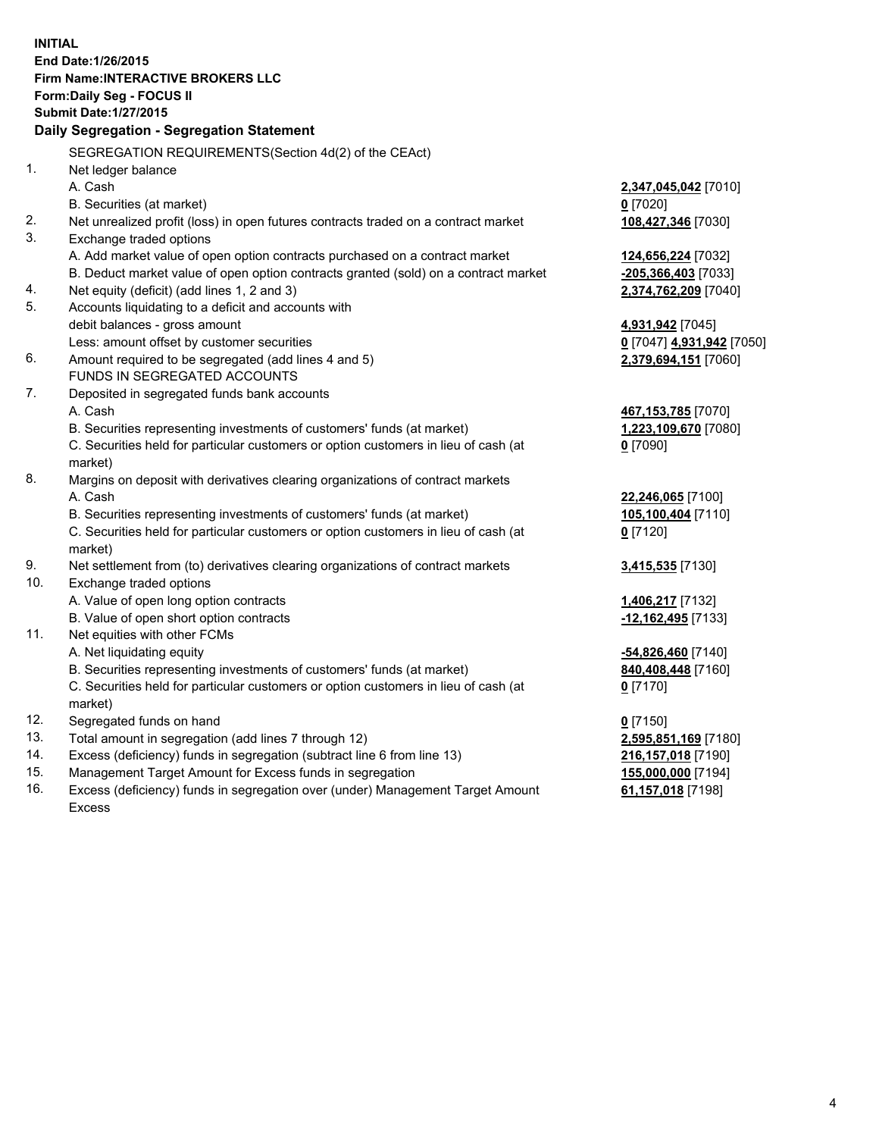**INITIAL End Date:1/26/2015 Firm Name:INTERACTIVE BROKERS LLC Form:Daily Seg - FOCUS II Submit Date:1/27/2015 Daily Segregation - Segregation Statement** SEGREGATION REQUIREMENTS(Section 4d(2) of the CEAct) 1. Net ledger balance A. Cash **2,347,045,042** [7010] B. Securities (at market) **0** [7020] 2. Net unrealized profit (loss) in open futures contracts traded on a contract market **108,427,346** [7030] 3. Exchange traded options A. Add market value of open option contracts purchased on a contract market **124,656,224** [7032] B. Deduct market value of open option contracts granted (sold) on a contract market **-205,366,403** [7033] 4. Net equity (deficit) (add lines 1, 2 and 3) **2,374,762,209** [7040] 5. Accounts liquidating to a deficit and accounts with debit balances - gross amount **4,931,942** [7045] Less: amount offset by customer securities **0** [7047] **4,931,942** [7050] 6. Amount required to be segregated (add lines 4 and 5) **2,379,694,151** [7060] FUNDS IN SEGREGATED ACCOUNTS 7. Deposited in segregated funds bank accounts A. Cash **467,153,785** [7070] B. Securities representing investments of customers' funds (at market) **1,223,109,670** [7080] C. Securities held for particular customers or option customers in lieu of cash (at market) **0** [7090] 8. Margins on deposit with derivatives clearing organizations of contract markets A. Cash **22,246,065** [7100] B. Securities representing investments of customers' funds (at market) **105,100,404** [7110] C. Securities held for particular customers or option customers in lieu of cash (at market) **0** [7120] 9. Net settlement from (to) derivatives clearing organizations of contract markets **3,415,535** [7130] 10. Exchange traded options A. Value of open long option contracts **1,406,217** [7132] B. Value of open short option contracts **-12,162,495** [7133] 11. Net equities with other FCMs A. Net liquidating equity **-54,826,460** [7140] B. Securities representing investments of customers' funds (at market) **840,408,448** [7160] C. Securities held for particular customers or option customers in lieu of cash (at market) **0** [7170] 12. Segregated funds on hand **0** [7150] 13. Total amount in segregation (add lines 7 through 12) **2,595,851,169** [7180] 14. Excess (deficiency) funds in segregation (subtract line 6 from line 13) **216,157,018** [7190] 15. Management Target Amount for Excess funds in segregation **155,000,000** [7194]

16. Excess (deficiency) funds in segregation over (under) Management Target Amount Excess

**61,157,018** [7198]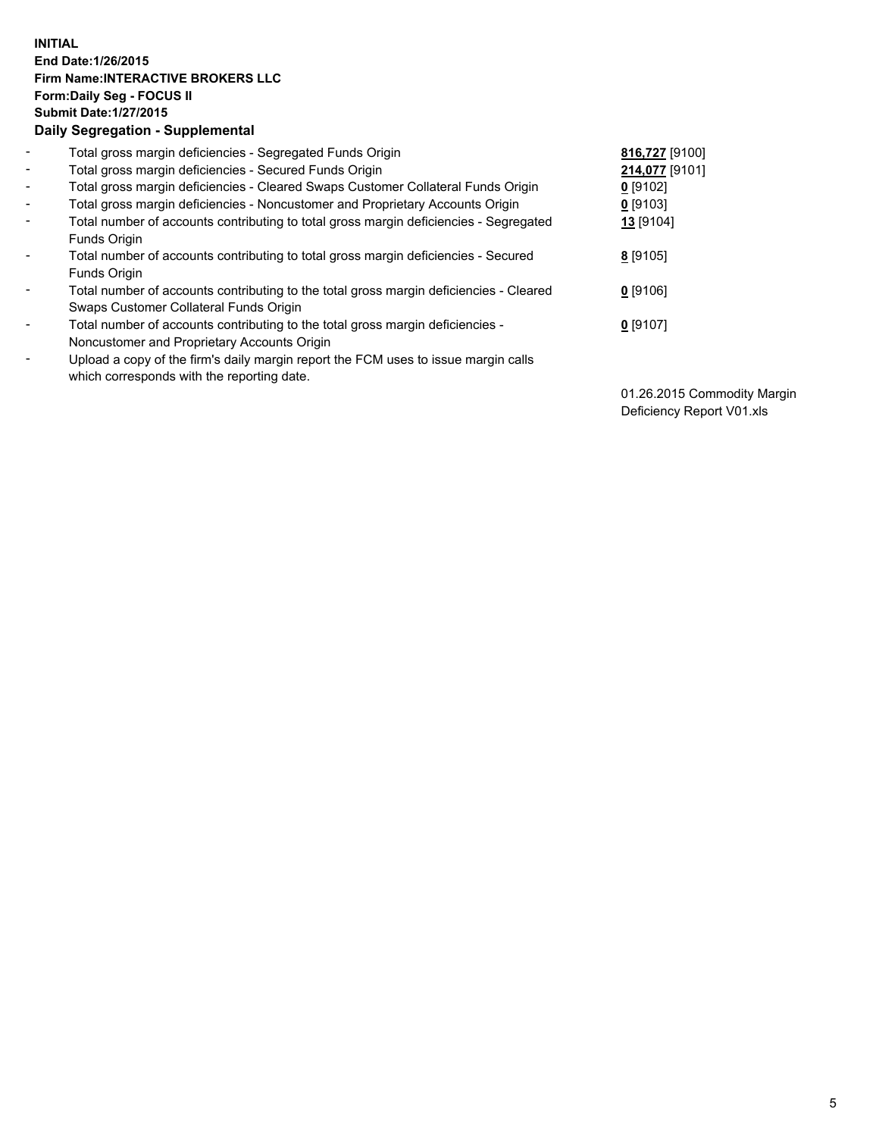## **INITIAL End Date:1/26/2015 Firm Name:INTERACTIVE BROKERS LLC Form:Daily Seg - FOCUS II Submit Date:1/27/2015 Daily Segregation - Supplemental**

| $\blacksquare$           | Total gross margin deficiencies - Segregated Funds Origin                              | 816,727 [9100] |
|--------------------------|----------------------------------------------------------------------------------------|----------------|
| $\blacksquare$           | Total gross margin deficiencies - Secured Funds Origin                                 | 214,077 [9101] |
| $\blacksquare$           | Total gross margin deficiencies - Cleared Swaps Customer Collateral Funds Origin       | $0$ [9102]     |
| $\blacksquare$           | Total gross margin deficiencies - Noncustomer and Proprietary Accounts Origin          | $0$ [9103]     |
| $\blacksquare$           | Total number of accounts contributing to total gross margin deficiencies - Segregated  | 13 [9104]      |
|                          | Funds Origin                                                                           |                |
| $\blacksquare$           | Total number of accounts contributing to total gross margin deficiencies - Secured     | 8 [9105]       |
|                          | Funds Origin                                                                           |                |
| $\blacksquare$           | Total number of accounts contributing to the total gross margin deficiencies - Cleared | $0$ [9106]     |
|                          | Swaps Customer Collateral Funds Origin                                                 |                |
| $\overline{\phantom{a}}$ | Total number of accounts contributing to the total gross margin deficiencies -         | $0$ [9107]     |
|                          | Noncustomer and Proprietary Accounts Origin                                            |                |
| $\overline{\phantom{a}}$ | Upload a copy of the firm's daily margin report the FCM uses to issue margin calls     |                |
|                          | which corresponds with the reporting date.                                             |                |

01.26.2015 Commodity Margin Deficiency Report V01.xls